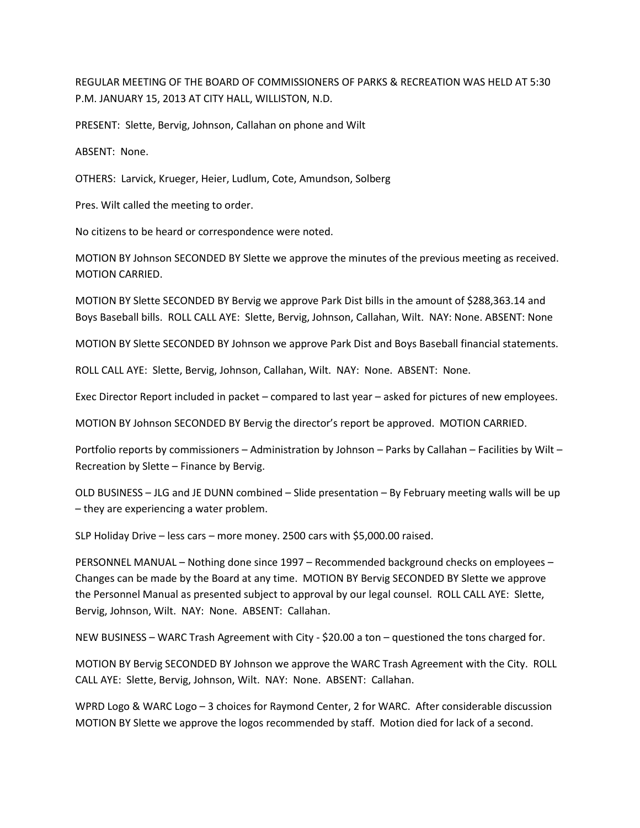REGULAR MEETING OF THE BOARD OF COMMISSIONERS OF PARKS & RECREATION WAS HELD AT 5:30 P.M. JANUARY 15, 2013 AT CITY HALL, WILLISTON, N.D.

PRESENT: Slette, Bervig, Johnson, Callahan on phone and Wilt

ABSENT: None.

OTHERS: Larvick, Krueger, Heier, Ludlum, Cote, Amundson, Solberg

Pres. Wilt called the meeting to order.

No citizens to be heard or correspondence were noted.

MOTION BY Johnson SECONDED BY Slette we approve the minutes of the previous meeting as received. MOTION CARRIED.

MOTION BY Slette SECONDED BY Bervig we approve Park Dist bills in the amount of \$288,363.14 and Boys Baseball bills. ROLL CALL AYE: Slette, Bervig, Johnson, Callahan, Wilt. NAY: None. ABSENT: None

MOTION BY Slette SECONDED BY Johnson we approve Park Dist and Boys Baseball financial statements.

ROLL CALL AYE: Slette, Bervig, Johnson, Callahan, Wilt. NAY: None. ABSENT: None.

Exec Director Report included in packet – compared to last year – asked for pictures of new employees.

MOTION BY Johnson SECONDED BY Bervig the director's report be approved. MOTION CARRIED.

Portfolio reports by commissioners – Administration by Johnson – Parks by Callahan – Facilities by Wilt – Recreation by Slette – Finance by Bervig.

OLD BUSINESS – JLG and JE DUNN combined – Slide presentation – By February meeting walls will be up – they are experiencing a water problem.

SLP Holiday Drive – less cars – more money. 2500 cars with \$5,000.00 raised.

PERSONNEL MANUAL – Nothing done since 1997 – Recommended background checks on employees – Changes can be made by the Board at any time. MOTION BY Bervig SECONDED BY Slette we approve the Personnel Manual as presented subject to approval by our legal counsel. ROLL CALL AYE: Slette, Bervig, Johnson, Wilt. NAY: None. ABSENT: Callahan.

NEW BUSINESS – WARC Trash Agreement with City - \$20.00 a ton – questioned the tons charged for.

MOTION BY Bervig SECONDED BY Johnson we approve the WARC Trash Agreement with the City. ROLL CALL AYE: Slette, Bervig, Johnson, Wilt. NAY: None. ABSENT: Callahan.

WPRD Logo & WARC Logo – 3 choices for Raymond Center, 2 for WARC. After considerable discussion MOTION BY Slette we approve the logos recommended by staff. Motion died for lack of a second.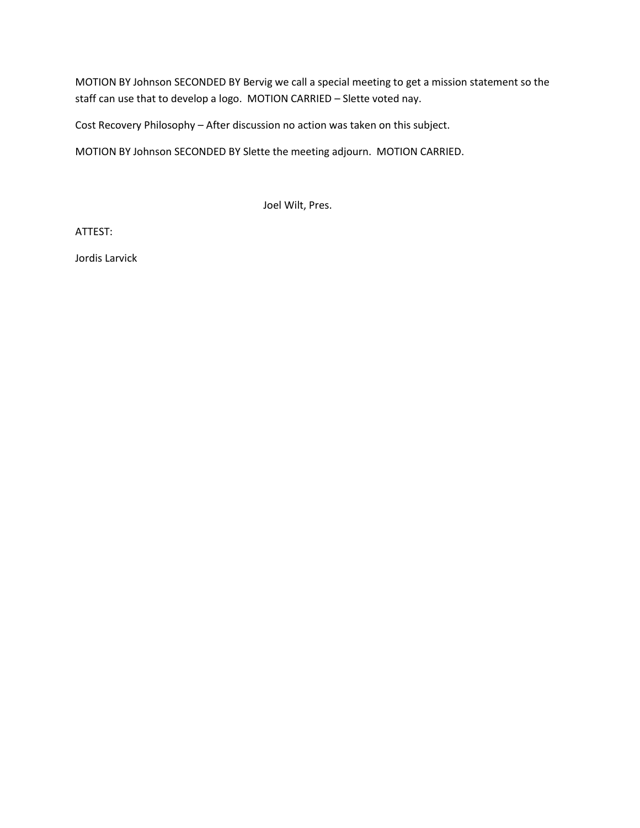MOTION BY Johnson SECONDED BY Bervig we call a special meeting to get a mission statement so the staff can use that to develop a logo. MOTION CARRIED – Slette voted nay.

Cost Recovery Philosophy – After discussion no action was taken on this subject.

MOTION BY Johnson SECONDED BY Slette the meeting adjourn. MOTION CARRIED.

Joel Wilt, Pres.

ATTEST:

Jordis Larvick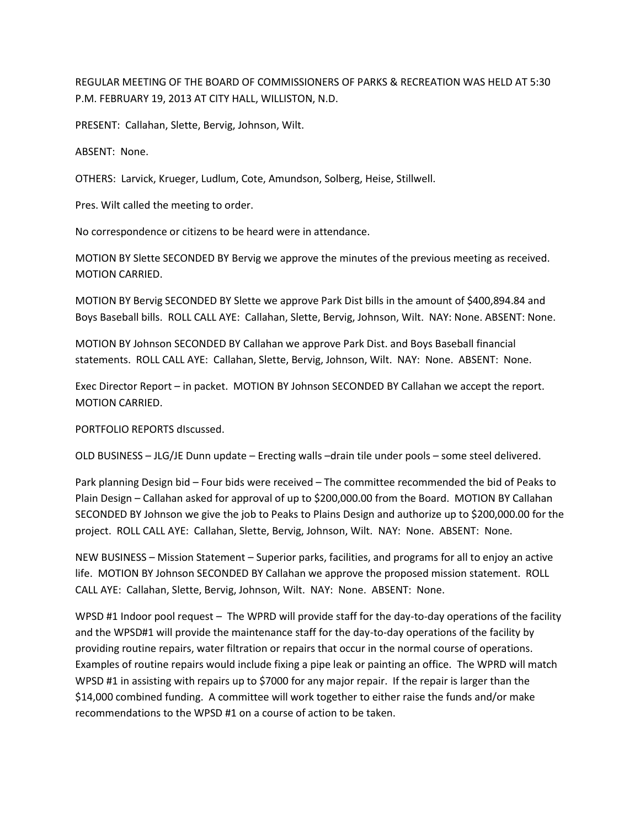REGULAR MEETING OF THE BOARD OF COMMISSIONERS OF PARKS & RECREATION WAS HELD AT 5:30 P.M. FEBRUARY 19, 2013 AT CITY HALL, WILLISTON, N.D.

PRESENT: Callahan, Slette, Bervig, Johnson, Wilt.

ABSENT: None.

OTHERS: Larvick, Krueger, Ludlum, Cote, Amundson, Solberg, Heise, Stillwell.

Pres. Wilt called the meeting to order.

No correspondence or citizens to be heard were in attendance.

MOTION BY Slette SECONDED BY Bervig we approve the minutes of the previous meeting as received. MOTION CARRIED.

MOTION BY Bervig SECONDED BY Slette we approve Park Dist bills in the amount of \$400,894.84 and Boys Baseball bills. ROLL CALL AYE: Callahan, Slette, Bervig, Johnson, Wilt. NAY: None. ABSENT: None.

MOTION BY Johnson SECONDED BY Callahan we approve Park Dist. and Boys Baseball financial statements. ROLL CALL AYE: Callahan, Slette, Bervig, Johnson, Wilt. NAY: None. ABSENT: None.

Exec Director Report – in packet. MOTION BY Johnson SECONDED BY Callahan we accept the report. MOTION CARRIED.

PORTFOLIO REPORTS dIscussed.

OLD BUSINESS – JLG/JE Dunn update – Erecting walls –drain tile under pools – some steel delivered.

Park planning Design bid – Four bids were received – The committee recommended the bid of Peaks to Plain Design – Callahan asked for approval of up to \$200,000.00 from the Board. MOTION BY Callahan SECONDED BY Johnson we give the job to Peaks to Plains Design and authorize up to \$200,000.00 for the project. ROLL CALL AYE: Callahan, Slette, Bervig, Johnson, Wilt. NAY: None. ABSENT: None.

NEW BUSINESS – Mission Statement – Superior parks, facilities, and programs for all to enjoy an active life. MOTION BY Johnson SECONDED BY Callahan we approve the proposed mission statement. ROLL CALL AYE: Callahan, Slette, Bervig, Johnson, Wilt. NAY: None. ABSENT: None.

WPSD #1 Indoor pool request – The WPRD will provide staff for the day-to-day operations of the facility and the WPSD#1 will provide the maintenance staff for the day-to-day operations of the facility by providing routine repairs, water filtration or repairs that occur in the normal course of operations. Examples of routine repairs would include fixing a pipe leak or painting an office. The WPRD will match WPSD #1 in assisting with repairs up to \$7000 for any major repair. If the repair is larger than the \$14,000 combined funding. A committee will work together to either raise the funds and/or make recommendations to the WPSD #1 on a course of action to be taken.